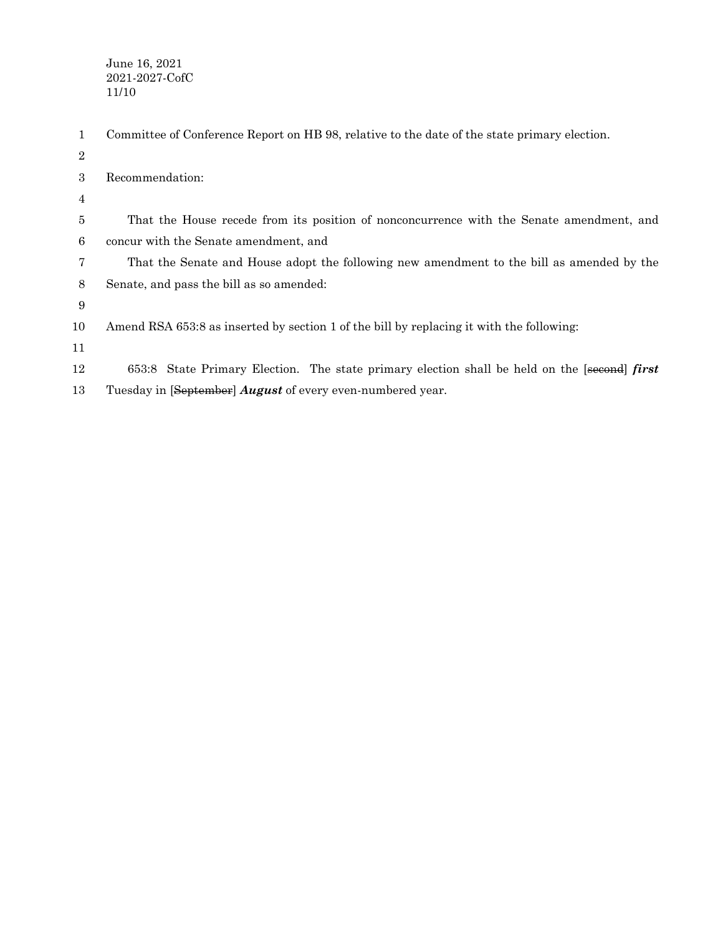| 1              | Committee of Conference Report on HB 98, relative to the date of the state primary election. |
|----------------|----------------------------------------------------------------------------------------------|
| $\overline{2}$ |                                                                                              |
| 3              | Recommendation:                                                                              |
| 4              |                                                                                              |
| 5              | That the House recede from its position of nonconcurrence with the Senate amendment, and     |
| 6              | concur with the Senate amendment, and                                                        |
| 7              | That the Senate and House adopt the following new amendment to the bill as amended by the    |
| 8              | Senate, and pass the bill as so amended:                                                     |
| 9              |                                                                                              |
| 10             | Amend RSA 653:8 as inserted by section 1 of the bill by replacing it with the following:     |
| 11             |                                                                                              |
| 12             | 653:8 State Primary Election. The state primary election shall be held on the [second] first |
| 13             | Tuesday in [September] <i>August</i> of every even-numbered year.                            |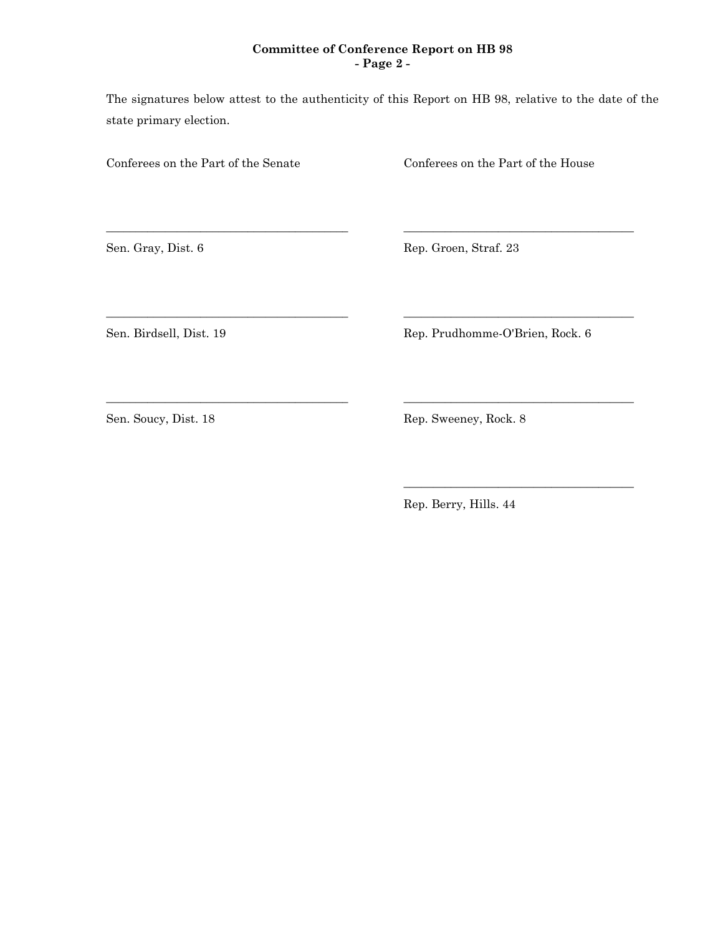## **Committee of Conference Report on HB 98 - Page 2 -**

The signatures below attest to the authenticity of this Report on HB 98, relative to the date of the state primary election.

\_\_\_\_\_\_\_\_\_\_\_\_\_\_\_\_\_\_\_\_\_\_\_\_\_\_\_\_\_\_\_\_\_\_\_\_\_\_\_\_\_ \_\_\_\_\_\_\_\_\_\_\_\_\_\_\_\_\_\_\_\_\_\_\_\_\_\_\_\_\_\_\_\_\_\_\_\_\_\_\_

\_\_\_\_\_\_\_\_\_\_\_\_\_\_\_\_\_\_\_\_\_\_\_\_\_\_\_\_\_\_\_\_\_\_\_\_\_\_\_\_\_ \_\_\_\_\_\_\_\_\_\_\_\_\_\_\_\_\_\_\_\_\_\_\_\_\_\_\_\_\_\_\_\_\_\_\_\_\_\_\_

\_\_\_\_\_\_\_\_\_\_\_\_\_\_\_\_\_\_\_\_\_\_\_\_\_\_\_\_\_\_\_\_\_\_\_\_\_\_\_\_\_ \_\_\_\_\_\_\_\_\_\_\_\_\_\_\_\_\_\_\_\_\_\_\_\_\_\_\_\_\_\_\_\_\_\_\_\_\_\_\_

Conferees on the Part of the Senate Conferees on the Part of the House

Sen. Gray, Dist. 6 Rep. Groen, Straf. 23

Sen. Birdsell, Dist. 19 Rep. Prudhomme-O'Brien, Rock. 6

\_\_\_\_\_\_\_\_\_\_\_\_\_\_\_\_\_\_\_\_\_\_\_\_\_\_\_\_\_\_\_\_\_\_\_\_\_\_\_

Sen. Soucy, Dist. 18 Rep. Sweeney, Rock. 8

Rep. Berry, Hills. 44